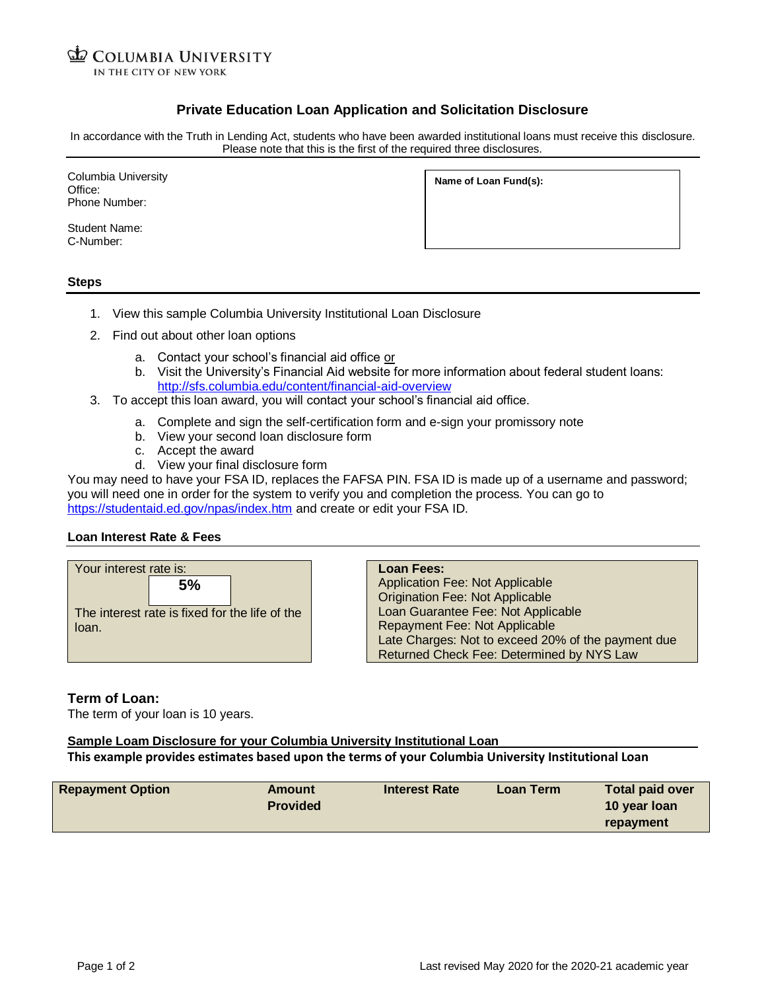**ED COLUMBIA UNIVERSITY** IN THE CITY OF NEW YORK

# **Private Education Loan Application and Solicitation Disclosure**

In accordance with the Truth in Lending Act, students who have been awarded institutional loans must receive this disclosure. Please note that this is the first of the required three disclosures.

Columbia University Office: Phone Number:

**Name of Loan Fund(s):**

Student Name: C-Number:

### **Steps**

- 1. View this sample Columbia University Institutional Loan Disclosure
- 2. Find out about other loan options
	- a. Contact your school's financial aid office or
	- b. Visit the University's Financial Aid website for more information about federal student loans: <http://sfs.columbia.edu/content/financial-aid-overview>
- 3. To accept this loan award, you will contact your school's financial aid office.
	- a. Complete and sign the self-certification form and e-sign your promissory note
	- b. View your second loan disclosure form
	- c. Accept the award
	- d. View your final disclosure form

You may need to have your FSA ID, replaces the FAFSA PIN. FSA ID is made up of a username and password; you will need one in order for the system to verify you and completion the process. You can go to <https://studentaid.ed.gov/npas/index.htm> and create or edit your FSA ID.

### **Loan Interest Rate & Fees**



**Loan Fees:** Application Fee: Not Applicable Origination Fee: Not Applicable Loan Guarantee Fee: Not Applicable Repayment Fee: Not Applicable Late Charges: Not to exceed 20% of the payment due Returned Check Fee: Determined by NYS Law

## **Term of Loan:**

The term of your loan is 10 years.

## **Sample Loam Disclosure for your Columbia University Institutional Loan**

**This example provides estimates based upon the terms of your Columbia University Institutional Loan**

| <b>Repayment Option</b> | Amount          | <b>Interest Rate</b> | Loan Term | <b>Total paid over</b> |
|-------------------------|-----------------|----------------------|-----------|------------------------|
|                         | <b>Provided</b> |                      |           | 10 year loan           |
|                         |                 |                      |           | repayment              |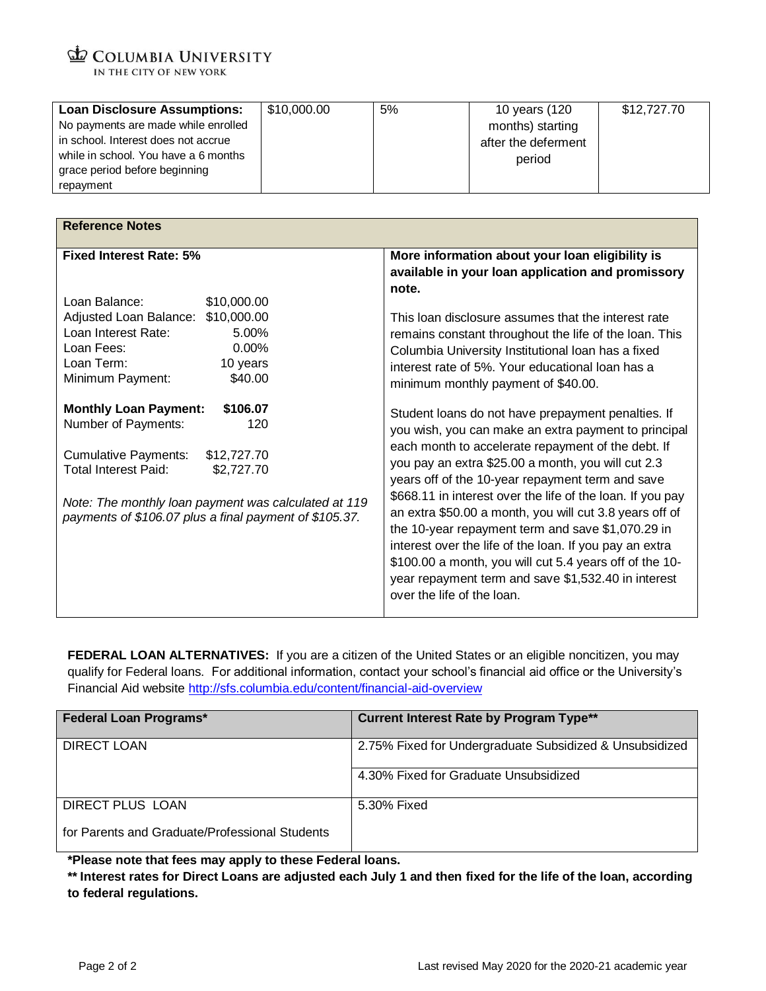COLUMBIA UNIVERSITY IN THE CITY OF NEW YORK

| <b>Loan Disclosure Assumptions:</b>  | \$10,000.00 | 5% | 10 years (120       | \$12,727.70 |
|--------------------------------------|-------------|----|---------------------|-------------|
| No payments are made while enrolled  |             |    | months) starting    |             |
| in school. Interest does not accrue  |             |    | after the deferment |             |
| while in school. You have a 6 months |             |    | period              |             |
| grace period before beginning        |             |    |                     |             |
| repayment                            |             |    |                     |             |

| <b>Reference Notes</b>                                                                                                                                                                                                                                                              |                                                                                                                                                                                                                                                                                                                                                                                                                                                                                                                                                                                                                                                                     |  |  |  |
|-------------------------------------------------------------------------------------------------------------------------------------------------------------------------------------------------------------------------------------------------------------------------------------|---------------------------------------------------------------------------------------------------------------------------------------------------------------------------------------------------------------------------------------------------------------------------------------------------------------------------------------------------------------------------------------------------------------------------------------------------------------------------------------------------------------------------------------------------------------------------------------------------------------------------------------------------------------------|--|--|--|
|                                                                                                                                                                                                                                                                                     |                                                                                                                                                                                                                                                                                                                                                                                                                                                                                                                                                                                                                                                                     |  |  |  |
| <b>Fixed Interest Rate: 5%</b>                                                                                                                                                                                                                                                      | More information about your loan eligibility is                                                                                                                                                                                                                                                                                                                                                                                                                                                                                                                                                                                                                     |  |  |  |
|                                                                                                                                                                                                                                                                                     | available in your loan application and promissory                                                                                                                                                                                                                                                                                                                                                                                                                                                                                                                                                                                                                   |  |  |  |
|                                                                                                                                                                                                                                                                                     | note.                                                                                                                                                                                                                                                                                                                                                                                                                                                                                                                                                                                                                                                               |  |  |  |
| Loan Balance:<br>\$10,000.00                                                                                                                                                                                                                                                        |                                                                                                                                                                                                                                                                                                                                                                                                                                                                                                                                                                                                                                                                     |  |  |  |
| Adjusted Loan Balance:<br>\$10,000.00                                                                                                                                                                                                                                               | This loan disclosure assumes that the interest rate                                                                                                                                                                                                                                                                                                                                                                                                                                                                                                                                                                                                                 |  |  |  |
| Loan Interest Rate:<br>5.00%                                                                                                                                                                                                                                                        | remains constant throughout the life of the loan. This                                                                                                                                                                                                                                                                                                                                                                                                                                                                                                                                                                                                              |  |  |  |
| 0.00%<br>Loan Fees:                                                                                                                                                                                                                                                                 | Columbia University Institutional Ioan has a fixed                                                                                                                                                                                                                                                                                                                                                                                                                                                                                                                                                                                                                  |  |  |  |
| Loan Term:<br>10 years                                                                                                                                                                                                                                                              | interest rate of 5%. Your educational loan has a                                                                                                                                                                                                                                                                                                                                                                                                                                                                                                                                                                                                                    |  |  |  |
| Minimum Payment:<br>\$40.00                                                                                                                                                                                                                                                         | minimum monthly payment of \$40.00.                                                                                                                                                                                                                                                                                                                                                                                                                                                                                                                                                                                                                                 |  |  |  |
| <b>Monthly Loan Payment:</b><br>\$106.07<br>Number of Payments:<br>120<br>\$12,727.70<br><b>Cumulative Payments:</b><br><b>Total Interest Paid:</b><br>\$2,727.70<br>Note: The monthly loan payment was calculated at 119<br>payments of \$106.07 plus a final payment of \$105.37. | Student loans do not have prepayment penalties. If<br>you wish, you can make an extra payment to principal<br>each month to accelerate repayment of the debt. If<br>you pay an extra \$25.00 a month, you will cut 2.3<br>years off of the 10-year repayment term and save<br>\$668.11 in interest over the life of the loan. If you pay<br>an extra \$50.00 a month, you will cut 3.8 years off of<br>the 10-year repayment term and save \$1,070.29 in<br>interest over the life of the loan. If you pay an extra<br>\$100.00 a month, you will cut 5.4 years off of the 10-<br>year repayment term and save \$1,532.40 in interest<br>over the life of the loan. |  |  |  |

FEDERAL LOAN ALTERNATIVES: If you are a citizen of the United States or an eligible noncitizen, you may qualify for Federal loans. For additional information, contact your school's financial aid office or the University's Financial Aid website <http://sfs.columbia.edu/content/financial-aid-overview>

| <b>Federal Loan Programs*</b>                  | <b>Current Interest Rate by Program Type**</b>          |
|------------------------------------------------|---------------------------------------------------------|
| DIRECT LOAN                                    | 2.75% Fixed for Undergraduate Subsidized & Unsubsidized |
|                                                | 4.30% Fixed for Graduate Unsubsidized                   |
| DIRECT PLUS LOAN                               | 5.30% Fixed                                             |
| for Parents and Graduate/Professional Students |                                                         |

**\*Please note that fees may apply to these Federal loans.**

**\*\* Interest rates for Direct Loans are adjusted each July 1 and then fixed for the life of the loan, according to federal regulations.**